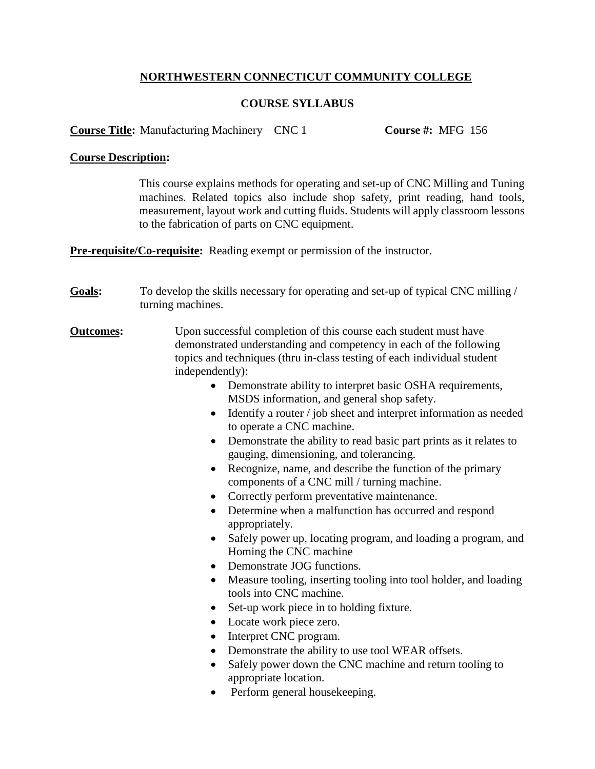# **NORTHWESTERN CONNECTICUT COMMUNITY COLLEGE**

## **COURSE SYLLABUS**

**Course Title:** Manufacturing Machinery – CNC 1 **Course #:** MFG 156

## **Course Description:**

This course explains methods for operating and set-up of CNC Milling and Tuning machines. Related topics also include shop safety, print reading, hand tools, measurement, layout work and cutting fluids. Students will apply classroom lessons to the fabrication of parts on CNC equipment.

**Pre-requisite/Co-requisite:** Reading exempt or permission of the instructor.

- Goals: To develop the skills necessary for operating and set-up of typical CNC milling / turning machines.
- **Outcomes:** Upon successful completion of this course each student must have demonstrated understanding and competency in each of the following topics and techniques (thru in-class testing of each individual student independently):
	- Demonstrate ability to interpret basic OSHA requirements, MSDS information, and general shop safety.
	- Identify a router / job sheet and interpret information as needed to operate a CNC machine.
	- Demonstrate the ability to read basic part prints as it relates to gauging, dimensioning, and tolerancing.
	- Recognize, name, and describe the function of the primary components of a CNC mill / turning machine.
	- Correctly perform preventative maintenance.
	- Determine when a malfunction has occurred and respond appropriately.
	- Safely power up, locating program, and loading a program, and Homing the CNC machine
	- Demonstrate JOG functions.
	- Measure tooling, inserting tooling into tool holder, and loading tools into CNC machine.
	- Set-up work piece in to holding fixture.
	- Locate work piece zero.
	- Interpret CNC program.
	- Demonstrate the ability to use tool WEAR offsets.
	- Safely power down the CNC machine and return tooling to appropriate location.
	- Perform general house keeping.